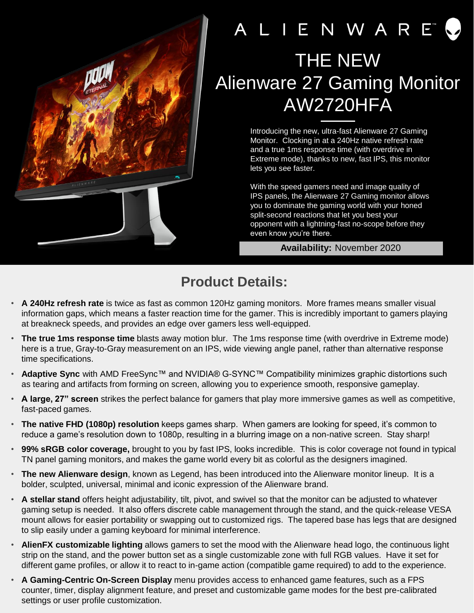

## A L I E N W A R E THE NEW Alienware 27 Gaming Monitor AW2720HFA

Introducing the new, ultra-fast Alienware 27 Gaming Monitor. Clocking in at a 240Hz native refresh rate and a true 1ms response time (with overdrive in Extreme mode), thanks to new, fast IPS, this monitor lets you see faster.

With the speed gamers need and image quality of IPS panels, the Alienware 27 Gaming monitor allows you to dominate the gaming world with your honed split-second reactions that let you best your opponent with a lightning-fast no-scope before they even know you're there.

## **Availability:** November 2020

## **Product Details:**

- **A 240Hz refresh rate** is twice as fast as common 120Hz gaming monitors. More frames means smaller visual information gaps, which means a faster reaction time for the gamer. This is incredibly important to gamers playing at breakneck speeds, and provides an edge over gamers less well-equipped.
- **The true 1ms response time** blasts away motion blur. The 1ms response time (with overdrive in Extreme mode) here is a true, Gray-to-Gray measurement on an IPS, wide viewing angle panel, rather than alternative response time specifications.
- **Adaptive Sync** with AMD FreeSync™ and NVIDIA® G-SYNC™ Compatibility minimizes graphic distortions such as tearing and artifacts from forming on screen, allowing you to experience smooth, responsive gameplay.
- **A large, 27" screen** strikes the perfect balance for gamers that play more immersive games as well as competitive, fast-paced games.
- **The native FHD (1080p) resolution** keeps games sharp. When gamers are looking for speed, it's common to reduce a game's resolution down to 1080p, resulting in a blurring image on a non-native screen. Stay sharp!
- **99% sRGB color coverage,** brought to you by fast IPS, looks incredible. This is color coverage not found in typical TN panel gaming monitors, and makes the game world every bit as colorful as the designers imagined.
- **The new Alienware design**, known as Legend, has been introduced into the Alienware monitor lineup. It is a bolder, sculpted, universal, minimal and iconic expression of the Alienware brand.
- **A stellar stand** offers height adjustability, tilt, pivot, and swivel so that the monitor can be adjusted to whatever gaming setup is needed. It also offers discrete cable management through the stand, and the quick-release VESA mount allows for easier portability or swapping out to customized rigs. The tapered base has legs that are designed to slip easily under a gaming keyboard for minimal interference.
- **AlienFX customizable lighting** allows gamers to set the mood with the Alienware head logo, the continuous light strip on the stand, and the power button set as a single customizable zone with full RGB values. Have it set for different game profiles, or allow it to react to in-game action (compatible game required) to add to the experience.
- **A Gaming-Centric On-Screen Display** menu provides access to enhanced game features, such as a FPS counter, timer, display alignment feature, and preset and customizable game modes for the best pre-calibrated settings or user profile customization.